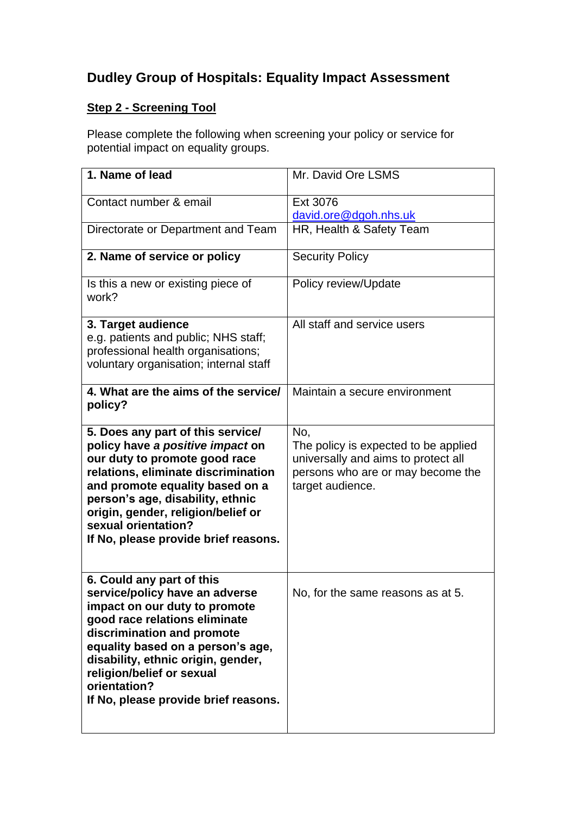## **Dudley Group of Hospitals: Equality Impact Assessment**

## **Step 2 - Screening Tool**

Please complete the following when screening your policy or service for potential impact on equality groups.

| 1. Name of lead                                                                                                                                                                                                                                                                                                             | Mr. David Ore LSMS                                                                                                                          |
|-----------------------------------------------------------------------------------------------------------------------------------------------------------------------------------------------------------------------------------------------------------------------------------------------------------------------------|---------------------------------------------------------------------------------------------------------------------------------------------|
| Contact number & email                                                                                                                                                                                                                                                                                                      | Ext 3076<br>david.ore@dgoh.nhs.uk                                                                                                           |
| Directorate or Department and Team                                                                                                                                                                                                                                                                                          | HR, Health & Safety Team                                                                                                                    |
| 2. Name of service or policy                                                                                                                                                                                                                                                                                                | <b>Security Policy</b>                                                                                                                      |
| Is this a new or existing piece of<br>work?                                                                                                                                                                                                                                                                                 | Policy review/Update                                                                                                                        |
| 3. Target audience<br>e.g. patients and public; NHS staff;<br>professional health organisations;<br>voluntary organisation; internal staff                                                                                                                                                                                  | All staff and service users                                                                                                                 |
| 4. What are the aims of the service/<br>policy?                                                                                                                                                                                                                                                                             | Maintain a secure environment                                                                                                               |
| 5. Does any part of this service/<br>policy have a positive impact on<br>our duty to promote good race<br>relations, eliminate discrimination<br>and promote equality based on a<br>person's age, disability, ethnic<br>origin, gender, religion/belief or<br>sexual orientation?<br>If No, please provide brief reasons.   | No,<br>The policy is expected to be applied<br>universally and aims to protect all<br>persons who are or may become the<br>target audience. |
| 6. Could any part of this<br>service/policy have an adverse<br>impact on our duty to promote<br>good race relations eliminate<br>discrimination and promote<br>equality based on a person's age,<br>disability, ethnic origin, gender,<br>religion/belief or sexual<br>orientation?<br>If No, please provide brief reasons. | No, for the same reasons as at 5.                                                                                                           |